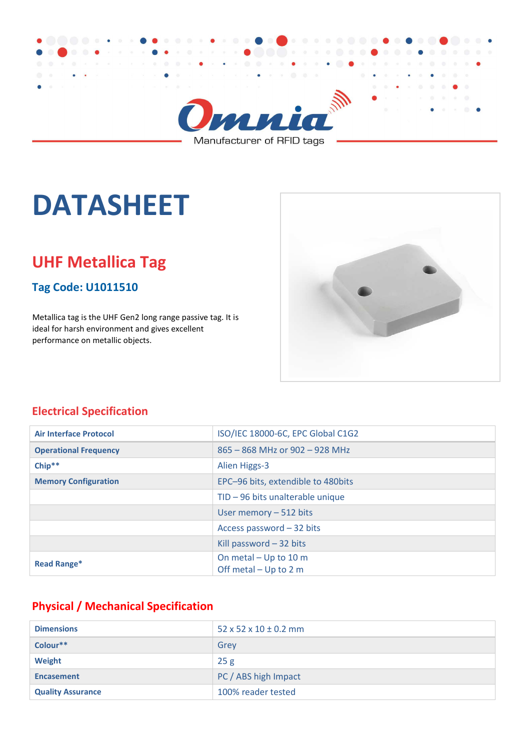

Manufacturer of RFID tags

# **DATASHEET**

### **UHF Metallica Tag**

#### **Tag Code: U1011510**

Metallica tag is the UHF Gen2 long range passive tag. It is ideal for harsh environment and gives excellent performance on metallic objects.



#### **Electrical Specification**

| <b>Air Interface Protocol</b> | ISO/IEC 18000-6C, EPC Global C1G2                |
|-------------------------------|--------------------------------------------------|
| <b>Operational Frequency</b>  | $865 - 868$ MHz or 902 - 928 MHz                 |
| Chip**                        | Alien Higgs-3                                    |
| <b>Memory Configuration</b>   | EPC-96 bits, extendible to 480bits               |
|                               | $TID - 96$ bits unalterable unique               |
|                               | User memory $-512$ bits                          |
|                               | Access password $-32$ bits                       |
|                               | Kill password $-32$ bits                         |
| <b>Read Range*</b>            | On metal - Up to 10 m<br>Off metal $-$ Up to 2 m |

#### **Physical / Mechanical Specification**

| <b>Dimensions</b>        | 52 x 52 x 10 $\pm$ 0.2 mm |
|--------------------------|---------------------------|
| Colour**                 | Grey                      |
| <b>Weight</b>            | 25g                       |
| <b>Encasement</b>        | PC / ABS high Impact      |
| <b>Quality Assurance</b> | 100% reader tested        |